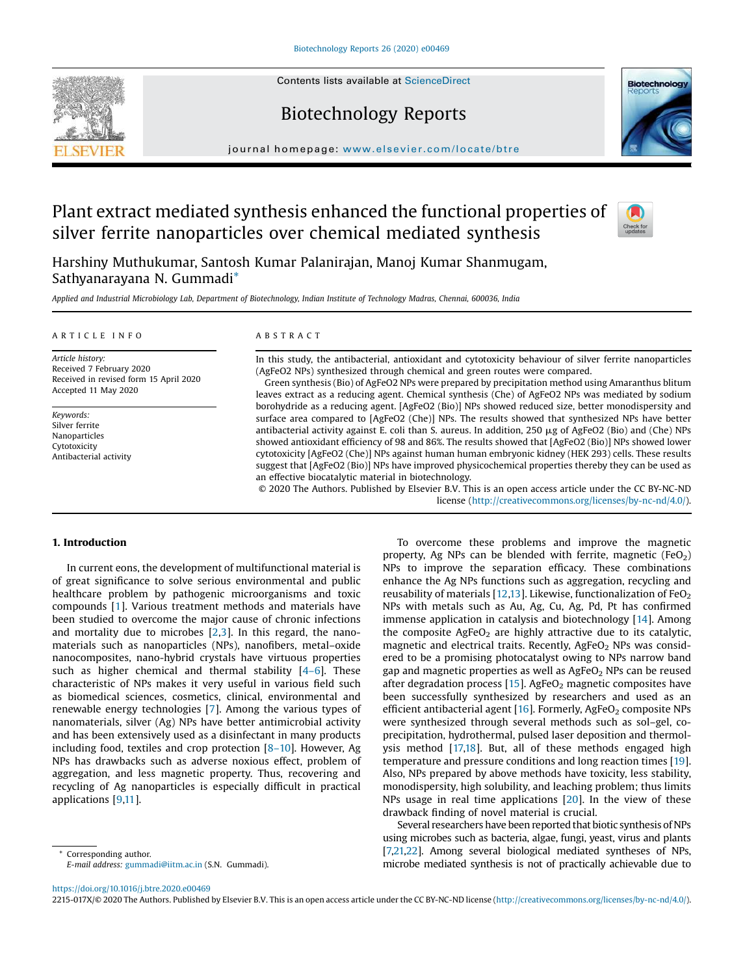Contents lists available at [ScienceDirect](http://www.sciencedirect.com/science/journal/2215017X)

# Biotechnology Reports



# Plant extract mediated synthesis enhanced the functional properties of silver ferrite nanoparticles over chemical mediated synthesis



**Biotechnology** 

Harshiny Muthukumar, Santosh Kumar Palanirajan, Manoj Kumar Shanmugam, Sathyanarayana N. Gummadi\*

Applied and Industrial Microbiology Lab, Department of Biotechnology, Indian Institute of Technology Madras, Chennai, 600036, India

#### A R T I C L E I N F O

*Article history:* Received 7 February 2020 Received in revised form 15 April 2020 Accepted 11 May 2020

*Keywords:* Silver ferrite Nanoparticles Cytotoxicity Antibacterial activity

# A B S T R A C T

In this study, the antibacterial, antioxidant and cytotoxicity behaviour of silver ferrite nanoparticles (AgFeO2 NPs) synthesized through chemical and green routes were compared.

Green synthesis (Bio) of AgFeO2 NPs were prepared by precipitation method using Amaranthus blitum leaves extract as a reducing agent. Chemical synthesis (Che) of AgFeO2 NPs was mediated by sodium borohydride as a reducing agent. [AgFeO2 (Bio)] NPs showed reduced size, better monodispersity and surface area compared to [AgFeO2 (Che)] NPs. The results showed that synthesized NPs have better antibacterial activity against E. coli than S. aureus. In addition, 250 µg of AgFeO2 (Bio) and (Che) NPs showed antioxidant efficiency of 98 and 86%. The results showed that [AgFeO2 (Bio)] NPs showed lower cytotoxicity [AgFeO2 (Che)] NPs against human human embryonic kidney (HEK 293) cells. These results suggest that [AgFeO2 (Bio)] NPs have improved physicochemical properties thereby they can be used as an effective biocatalytic material in biotechnology.

© 2020 The Authors. Published by Elsevier B.V. This is an open access article under the CC BY-NC-ND license [\(http://creativecommons.org/licenses/by-nc-nd/4.0/](http://creativecommons.org/licenses/by-nc-nd/4.0/)).

## 1. Introduction

In current eons, the development of multifunctional material is of great significance to solve serious environmental and public healthcare problem by pathogenic microorganisms and toxic compounds [[1](#page-8-0)]. Various treatment methods and materials have been studied to overcome the major cause of chronic infections and mortality due to microbes [[2,3\]](#page-8-0). In this regard, the nanomaterials such as nanoparticles (NPs), nanofibers, metal–oxide nanocomposites, nano-hybrid crystals have virtuous properties such as higher chemical and thermal stability [\[4](#page-8-0)–6]. These characteristic of NPs makes it very useful in various field such as biomedical sciences, cosmetics, clinical, environmental and renewable energy technologies [\[7](#page-9-0)]. Among the various types of nanomaterials, silver (Ag) NPs have better antimicrobial activity and has been extensively used as a disinfectant in many products including food, textiles and crop protection [8–[10\]](#page-9-0). However, Ag NPs has drawbacks such as adverse noxious effect, problem of aggregation, and less magnetic property. Thus, recovering and recycling of Ag nanoparticles is especially difficult in practical applications [[9](#page-9-0),[11](#page-9-0)].

Corresponding author. *E-mail address:* [gummadi@iitm.ac.in](mailto:gummadi@iitm.ac.in) (S.N. Gummadi).

To overcome these problems and improve the magnetic property, Ag NPs can be blended with ferrite, magnetic (FeO<sub>2</sub>) NPs to improve the separation efficacy. These combinations enhance the Ag NPs functions such as aggregation, recycling and reusability of materials [[12,13](#page-9-0)]. Likewise, functionalization of  $FeO<sub>2</sub>$ NPs with metals such as Au, Ag, Cu, Ag, Pd, Pt has confirmed immense application in catalysis and biotechnology [\[14](#page-9-0)]. Among the composite  $AgFeO<sub>2</sub>$  are highly attractive due to its catalytic, magnetic and electrical traits. Recently,  $AgFeO<sub>2</sub>$  NPs was considered to be a promising photocatalyst owing to NPs narrow band gap and magnetic properties as well as  $AgFeO<sub>2</sub>$  NPs can be reused after degradation process [\[15](#page-9-0)]. AgFeO<sub>2</sub> magnetic composites have been successfully synthesized by researchers and used as an efficient antibacterial agent  $[16]$ . Formerly, AgFeO<sub>2</sub> composite NPs were synthesized through several methods such as sol–gel, coprecipitation, hydrothermal, pulsed laser deposition and thermolysis method [[17,18](#page-9-0)]. But, all of these methods engaged high temperature and pressure conditions and long reaction times [\[19](#page-9-0)]. Also, NPs prepared by above methods have toxicity, less stability, monodispersity, high solubility, and leaching problem; thus limits NPs usage in real time applications [\[20\]](#page-9-0). In the view of these drawback finding of novel material is crucial.

Several researchers have been reported that biotic synthesis of NPs using microbes such as bacteria, algae, fungi, yeast, virus and plants [\[7,21,22](#page-9-0)]. Among several biological mediated syntheses of NPs, microbe mediated synthesis is not of practically achievable due to

<https://doi.org/10.1016/j.btre.2020.e00469>

2215-017X/© 2020 The Authors. Published by Elsevier B.V. This is an open access article under the CC BY-NC-ND license [\(http://creativecommons.org/licenses/by-nc-nd/4.0/\)](http://creativecommons.org/licenses/by-nc-nd/4.0/).

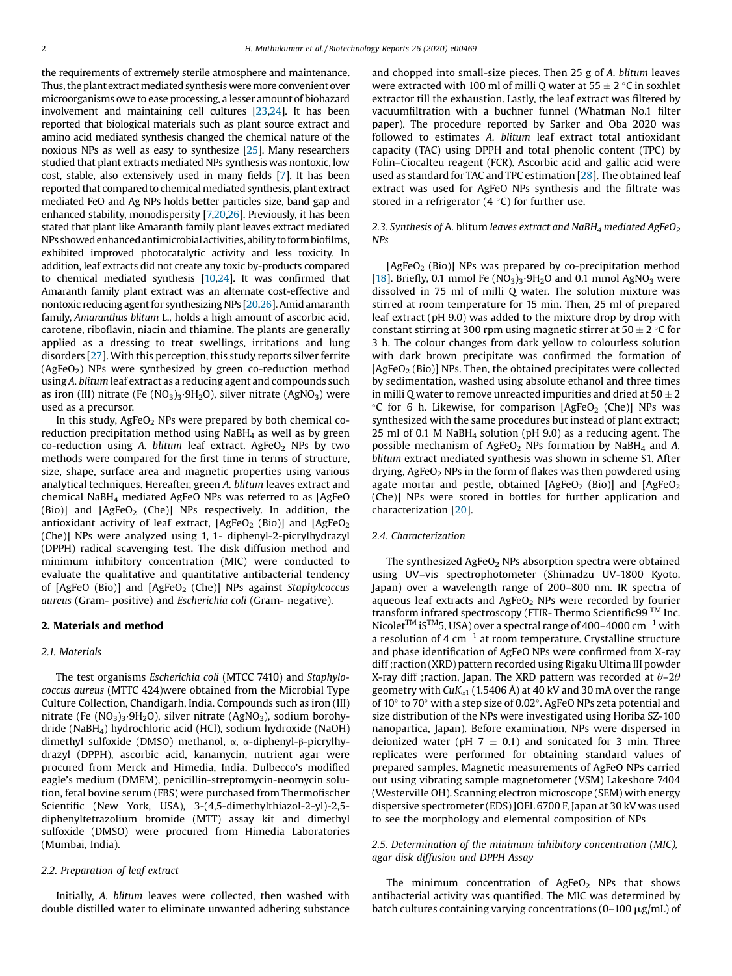the requirements of extremely sterile atmosphere and maintenance. Thus, the plant extract mediated synthesis were more convenient over microorganisms owe to ease processing, a lesser amount of biohazard involvement and maintaining cell cultures [\[23,24](#page-9-0)]. It has been reported that biological materials such as plant source extract and amino acid mediated synthesis changed the chemical nature of the noxious NPs as well as easy to synthesize [[25](#page-9-0)]. Many researchers studied that plant extracts mediated NPs synthesis was nontoxic, low cost, stable, also extensively used in many fields [\[7](#page-9-0)]. It has been reported that compared to chemical mediated synthesis, plant extract mediated FeO and Ag NPs holds better particles size, band gap and enhanced stability, monodispersity [\[7,20,26\]](#page-9-0). Previously, it has been stated that plant like Amaranth family plant leaves extract mediated NPs showed enhancedantimicrobial activities, ability to formbiofilms, exhibited improved photocatalytic activity and less toxicity. In addition, leaf extracts did not create any toxic by-products compared to chemical mediated synthesis [[10,24](#page-9-0)]. It was confirmed that Amaranth family plant extract was an alternate cost-effective and nontoxic reducing agent for synthesizing NPs [[20](#page-9-0),[26](#page-9-0)]. Amid amaranth family, *Amaranthus blitum* L., holds a high amount of ascorbic acid, carotene, riboflavin, niacin and thiamine. The plants are generally applied as a dressing to treat swellings, irritations and lung disorders [[27](#page-9-0)]. With this perception, this study reports silver ferrite  $(AgFeO<sub>2</sub>)$  NPs were synthesized by green co-reduction method using *A. blitum* leaf extract as a reducing agent and compounds such as iron (III) nitrate (Fe  $(NO<sub>3</sub>)<sub>3</sub>·9H<sub>2</sub>O$ ), silver nitrate (AgNO<sub>3</sub>) were used as a precursor.

In this study,  $AgFeO<sub>2</sub>$  NPs were prepared by both chemical coreduction precipitation method using  $N$ aBH<sub>4</sub> as well as by green co-reduction using *A. blitum* leaf extract. AgFeO<sub>2</sub> NPs by two methods were compared for the first time in terms of structure, size, shape, surface area and magnetic properties using various analytical techniques. Hereafter, green *A. blitum* leaves extract and chemical NaBH<sup>4</sup> mediated AgFeO NPs was referred to as [AgFeO (Bio)] and  $[AgFeO<sub>2</sub>$  (Che)] NPs respectively. In addition, the antioxidant activity of leaf extract,  $[AgFeO<sub>2</sub> (Bio)]$  and  $[AgFeO<sub>2</sub>]$ (Che)] NPs were analyzed using 1, 1- diphenyl-2-picrylhydrazyl (DPPH) radical scavenging test. The disk diffusion method and minimum inhibitory concentration (MIC) were conducted to evaluate the qualitative and quantitative antibacterial tendency of [AgFeO (Bio)] and [AgFeO<sub>2</sub> (Che)] NPs against *Staphylcoccus aureus* (Gram- positive) and *Escherichia coli* (Gram- negative).

#### 2. Materials and method

## *2.1. Materials*

The test organisms *Escherichia coli* (MTCC 7410) and *Staphylococcus aureus* (MTTC 424)were obtained from the Microbial Type Culture Collection, Chandigarh, India. Compounds such as iron (III) nitrate (Fe  $(NO<sub>3</sub>)<sub>3</sub>·9H<sub>2</sub>O$ ), silver nitrate  $(AgNO<sub>3</sub>)$ , sodium borohydride (NaBH4) hydrochloric acid (HCl), sodium hydroxide (NaOH) dimethyl sulfoxide (DMSO) methanol, α, α-diphenyl-β-picrylhydrazyl (DPPH), ascorbic acid, kanamycin, nutrient agar were procured from Merck and Himedia, India. Dulbecco's modified eagle's medium (DMEM), penicillin-streptomycin-neomycin solution, fetal bovine serum (FBS) were purchased from Thermofischer Scientific (New York, USA), 3-(4,5-dimethylthiazol-2-yl)-2,5 diphenyltetrazolium bromide (MTT) assay kit and dimethyl sulfoxide (DMSO) were procured from Himedia Laboratories (Mumbai, India).

## *2.2. Preparation of leaf extract*

Initially, *A. blitum* leaves were collected, then washed with double distilled water to eliminate unwanted adhering substance and chopped into small-size pieces. Then 25 g of *A. blitum* leaves were extracted with 100 ml of milli Q water at  $55 \pm 2$  °C in soxhlet extractor till the exhaustion. Lastly, the leaf extract was filtered by vacuumfiltration with a buchner funnel (Whatman No.1 filter paper). The procedure reported by Sarker and Oba 2020 was followed to estimates *A. blitum* leaf extract total antioxidant capacity (TAC) using DPPH and total phenolic content (TPC) by Folin–Ciocalteu reagent (FCR). Ascorbic acid and gallic acid were used as standard for TAC and TPC estimation [[28](#page-9-0)]. The obtained leaf extract was used for AgFeO NPs synthesis and the filtrate was stored in a refrigerator (4  $\degree$ C) for further use.

## *2.3. Synthesis of* A*.* blitum *leaves extract and NaBH<sup>4</sup> mediated AgFeO<sup>2</sup> NPs*

 $[AgFeO<sub>2</sub> (Bio)]$  NPs was prepared by co-precipitation method [[18\]](#page-9-0). Briefly, 0.1 mmol Fe  $(NO<sub>3</sub>)<sub>3</sub>$ .9H<sub>2</sub>O and 0.1 mmol AgNO<sub>3</sub> were dissolved in 75 ml of milli Q water. The solution mixture was stirred at room temperature for 15 min. Then, 25 ml of prepared leaf extract (pH 9.0) was added to the mixture drop by drop with constant stirring at 300 rpm using magnetic stirrer at 50  $\pm$  2 °C for 3 h. The colour changes from dark yellow to colourless solution with dark brown precipitate was confirmed the formation of  $[AgFeO<sub>2</sub>(Bio)]$  NPs. Then, the obtained precipitates were collected by sedimentation, washed using absolute ethanol and three times in milli Q water to remove unreacted impurities and dried at  $50 \pm 2$  $\degree$ C for 6 h. Likewise, for comparison [AgFeO<sub>2</sub> (Che)] NPs was synthesized with the same procedures but instead of plant extract; 25 ml of 0.1 M NaBH $_4$  solution (pH 9.0) as a reducing agent. The possible mechanism of AgFeO<sub>2</sub> NPs formation by NaBH<sub>4</sub> and A. *blitum* extract mediated synthesis was shown in scheme S1. After drying, AgFeO<sub>2</sub> NPs in the form of flakes was then powdered using agate mortar and pestle, obtained  $[AgFeO<sub>2</sub> (Bio)]$  and  $[AgFeO<sub>2</sub>]$ (Che)] NPs were stored in bottles for further application and characterization [\[20](#page-9-0)].

#### *2.4. Characterization*

The synthesized  $AgFeO<sub>2</sub>$  NPs absorption spectra were obtained using UV–vis spectrophotometer (Shimadzu UV-1800 Kyoto, Japan) over a wavelength range of 200–800 nm. IR spectra of aqueous leaf extracts and  $AgFeO<sub>2</sub>$  NPs were recorded by fourier transform infrared spectroscopy (FTIR- Thermo Scientific99<sup>™</sup> Inc. Nicolet<sup>TM</sup> iS<sup>TM</sup>5, USA) over a spectral range of 400–4000 cm<sup>-1</sup> with a resolution of  $\overline{4}$  cm<sup>-1</sup> at room temperature. Crystalline structure and phase identification of AgFeO NPs were confirmed from X-ray diff ;raction (XRD) pattern recorded using Rigaku Ultima III powder X-ray diff ; raction, Japan. The XRD pattern was recorded at  $\theta$ -2 $\theta$ geometry with  $CuK_{\alpha1}$  (1.5406 Å) at 40 kV and 30 mA over the range of 10° to 70° with a step size of 0.02°. AgFeO NPs zeta potential and size distribution of the NPs were investigated using Horiba SZ-100 nanopartica, Japan). Before examination, NPs were dispersed in deionized water (pH  $7 \pm 0.1$ ) and sonicated for 3 min. Three replicates were performed for obtaining standard values of prepared samples. Magnetic measurements of AgFeO NPs carried out using vibrating sample magnetometer (VSM) Lakeshore 7404 (Westerville OH). Scanning electron microscope (SEM) with energy dispersive spectrometer (EDS) JOEL 6700 F, Japan at 30 kV was used to see the morphology and elemental composition of NPs

# *2.5. Determination of the minimum inhibitory concentration (MIC), agar disk diffusion and DPPH Assay*

The minimum concentration of  $AgFeO<sub>2</sub>$  NPs that shows antibacterial activity was quantified. The MIC was determined by batch cultures containing varying concentrations (0–100  $\mu$ g/mL) of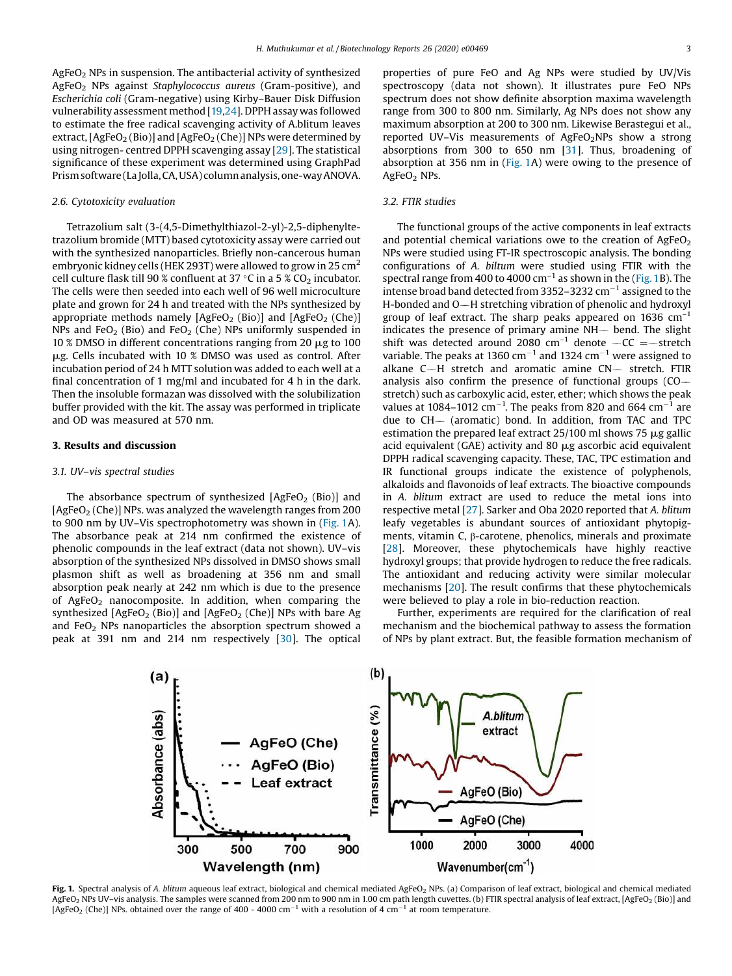<span id="page-2-0"></span>AgFeO<sup>2</sup> NPs in suspension. The antibacterial activity of synthesized AgFeO<sup>2</sup> NPs against *Staphylococcus aureus* (Gram-positive), and *Escherichia coli* (Gram-negative) using Kirby–Bauer Disk Diffusion vulnerability assessment method [[19,24\]](#page-9-0). DPPH assay was followed to estimate the free radical scavenging activity of A.blitum leaves extract,  $[AgFeO<sub>2</sub>(Bio)]$  and  $[AgFeO<sub>2</sub>(Che)]$  NPs were determined by using nitrogen- centred DPPH scavenging assay [[29](#page-9-0)]. The statistical significance of these experiment was determined using GraphPad Prismsoftware(La Jolla,CA,USA) columnanalysis,one-wayANOVA.

## *2.6. Cytotoxicity evaluation*

Tetrazolium salt (3-(4,5-Dimethylthiazol-2-yl)-2,5-diphenyltetrazolium bromide (MTT) based cytotoxicity assay were carried out with the synthesized nanoparticles. Briefly non-cancerous human embryonic kidney cells (HEK 293T) were allowed to grow in 25  $cm<sup>2</sup>$ cell culture flask till 90 % confluent at 37 °C in a 5 % CO<sub>2</sub> incubator. The cells were then seeded into each well of 96 well microculture plate and grown for 24 h and treated with the NPs synthesized by appropriate methods namely  $[AgFeO<sub>2</sub> (Bio)]$  and  $[AgFeO<sub>2</sub> (Che)]$ NPs and FeO<sub>2</sub> (Bio) and FeO<sub>2</sub> (Che) NPs uniformly suspended in 10 % DMSO in different concentrations ranging from 20  $\mu$ g to 100  $\mu$ g. Cells incubated with 10 % DMSO was used as control. After incubation period of 24 h MTT solution was added to each well at a final concentration of 1 mg/ml and incubated for 4 h in the dark. Then the insoluble formazan was dissolved with the solubilization buffer provided with the kit. The assay was performed in triplicate and OD was measured at 570 nm.

## 3. Results and discussion

## *3.1. UV*–*vis spectral studies*

The absorbance spectrum of synthesized  $[AgFeO<sub>2</sub> (Bio)]$  and  $[AgFeO<sub>2</sub>(Che)]$  NPs. was analyzed the wavelength ranges from 200 to 900 nm by UV–Vis spectrophotometry was shown in (Fig. 1A). The absorbance peak at 214 nm confirmed the existence of phenolic compounds in the leaf extract (data not shown). UV–vis absorption of the synthesized NPs dissolved in DMSO shows small plasmon shift as well as broadening at 356 nm and small absorption peak nearly at 242 nm which is due to the presence of AgFeO<sub>2</sub> nanocomposite. In addition, when comparing the synthesized  $[AgFeO<sub>2</sub> (Bio)]$  and  $[AgFeO<sub>2</sub> (Che)]$  NPs with bare Ag and  $FeO<sub>2</sub>$  NPs nanoparticles the absorption spectrum showed a peak at 391 nm and 214 nm respectively [[30\]](#page-9-0). The optical properties of pure FeO and Ag NPs were studied by UV/Vis spectroscopy (data not shown). It illustrates pure FeO NPs spectrum does not show definite absorption maxima wavelength range from 300 to 800 nm. Similarly, Ag NPs does not show any maximum absorption at 200 to 300 nm. Likewise Berastegui et al., reported UV-Vis measurements of AgFeO<sub>2</sub>NPs show a strong absorptions from 300 to 650 nm [\[31\]](#page-9-0). Thus, broadening of absorption at 356 nm in (Fig. 1A) were owing to the presence of AgFeO<sub>2</sub> NPs.

# *3.2. FTIR studies*

The functional groups of the active components in leaf extracts and potential chemical variations owe to the creation of  $AeFeO<sub>2</sub>$ NPs were studied using FT-IR spectroscopic analysis. The bonding configurations of *A. biltum* were studied using FTIR with the spectral range from 400 to 4000 cm<sup>-1</sup> as shown in the (Fig. 1B). The intense broad band detected from 3352-3232  $cm^{-1}$  assigned to the H-bonded and O-H stretching vibration of phenolic and hydroxyl group of leaf extract. The sharp peaks appeared on  $1636 \text{ cm}^{-1}$ indicates the presence of primary amine  $NH-$  bend. The slight shift was detected around 2080  $cm^{-1}$  denote  $-CC = -$ stretch variable. The peaks at 1360  $\text{cm}^{-1}$  and 1324  $\text{cm}^{-1}$  were assigned to alkane  $C-H$  stretch and aromatic amine  $CN-$  stretch. FTIR analysis also confirm the presence of functional groups (CO stretch) such as carboxylic acid, ester, ether; which shows the peak values at 1084–1012 cm<sup>-1</sup>. The peaks from 820 and 664 cm<sup>-1</sup> are due to CH- (aromatic) bond. In addition, from TAC and TPC estimation the prepared leaf extract  $25/100$  ml shows 75  $\mu$ g gallic acid equivalent (GAE) activity and 80  $\mu$ g ascorbic acid equivalent DPPH radical scavenging capacity. These, TAC, TPC estimation and IR functional groups indicate the existence of polyphenols, alkaloids and flavonoids of leaf extracts. The bioactive compounds in *A. blitum* extract are used to reduce the metal ions into respective metal [\[27](#page-9-0)]. Sarker and Oba 2020 reported that *A. blitum* leafy vegetables is abundant sources of antioxidant phytopigments, vitamin C, β-carotene, phenolics, minerals and proximate [\[28](#page-9-0)]. Moreover, these phytochemicals have highly reactive hydroxyl groups; that provide hydrogen to reduce the free radicals. The antioxidant and reducing activity were similar molecular mechanisms [\[20](#page-9-0)]. The result confirms that these phytochemicals were believed to play a role in bio-reduction reaction.

Further, experiments are required for the clarification of real mechanism and the biochemical pathway to assess the formation of NPs by plant extract. But, the feasible formation mechanism of



Fig. 1. Spectral analysis of A. blitum aqueous leaf extract, biological and chemical mediated AgFeO<sub>2</sub> NPs. (a) Comparison of leaf extract, biological and chemical mediated AgFeO<sub>2</sub> NPs UV-vis analysis. The samples were scanned from 200 nm to 900 nm in 1.00 cm path length cuvettes. (b) FTIR spectral analysis of leaf extract, [AgFeO<sub>2</sub> (Bio)] and [AgFeO<sub>2</sub> (Che)] NPs. obtained over the range of 400 - 4000 cm<sup>-1</sup> with a resolution of 4 cm<sup>-1</sup> at room temperature.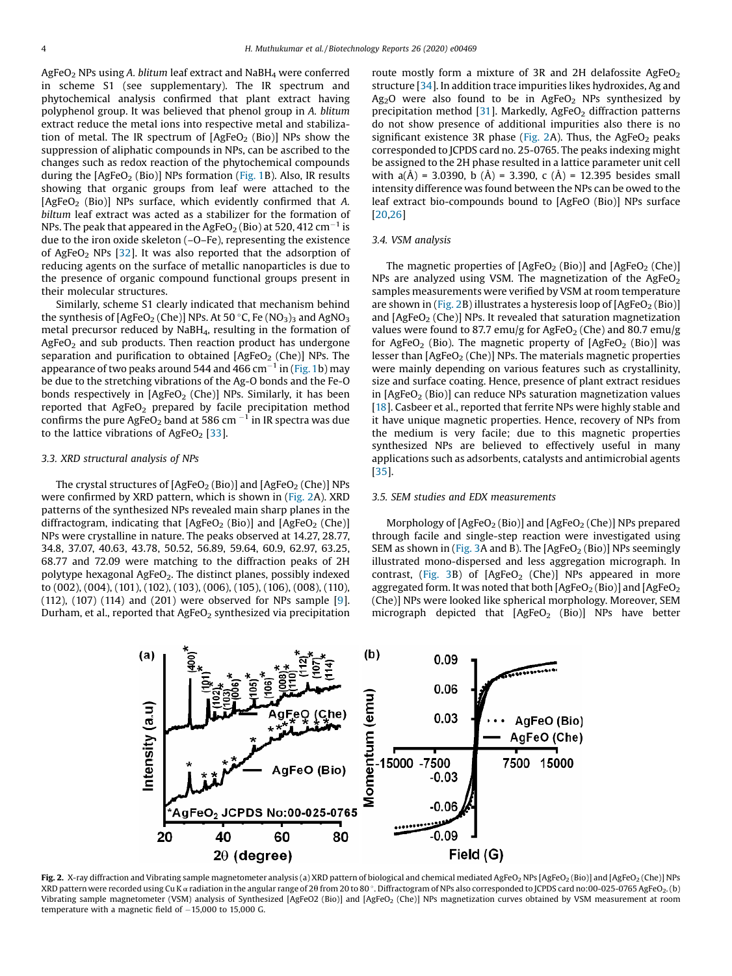AgFeO<sup>2</sup> NPs using *A. blitum* leaf extract and NaBH<sup>4</sup> were conferred in scheme S1 (see supplementary). The IR spectrum and phytochemical analysis confirmed that plant extract having polyphenol group. It was believed that phenol group in *A. blitum* extract reduce the metal ions into respective metal and stabilization of metal. The IR spectrum of  $[AgFeO<sub>2</sub> (Bio)]$  NPs show the suppression of aliphatic compounds in NPs, can be ascribed to the changes such as redox reaction of the phytochemical compounds during the  $[AgFeO<sub>2</sub> (Bio)]$  NPs formation [\(Fig.](#page-2-0) 1B). Also, IR results showing that organic groups from leaf were attached to the [AgFeO<sub>2</sub> (Bio)] NPs surface, which evidently confirmed that A. *biltum* leaf extract was acted as a stabilizer for the formation of NPs. The peak that appeared in the AgFeO $_2$  (Bio) at 520, 412 cm $^{-1}$  is due to the iron oxide skeleton (–O–Fe), representing the existence of AgFeO<sub>2</sub> NPs  $[32]$  $[32]$ . It was also reported that the adsorption of reducing agents on the surface of metallic nanoparticles is due to the presence of organic compound functional groups present in their molecular structures.

Similarly, scheme S1 clearly indicated that mechanism behind the synthesis of  $[AgFeO<sub>2</sub>(Che)]$  NPs. At 50 °C, Fe  $(NO<sub>3</sub>)<sub>3</sub>$  and AgNO<sub>3</sub> metal precursor reduced by NaBH4, resulting in the formation of  $AgFeO<sub>2</sub>$  and sub products. Then reaction product has undergone separation and purification to obtained  $[AgFeO<sub>2</sub> (Che)]$  NPs. The appearance of two peaks around 544 and 466 cm<sup>-1</sup> in ([Fig. 1b](#page-2-0)) may be due to the stretching vibrations of the Ag-O bonds and the Fe-O bonds respectively in  $[AgFeO<sub>2</sub> (Che)]$  NPs. Similarly, it has been reported that  $AgFeO<sub>2</sub>$  prepared by facile precipitation method confirms the pure AgFeO<sub>2</sub> band at 586 cm  $^{-1}$  in IR spectra was due to the lattice vibrations of AgFeO<sub>2</sub> [[33](#page-9-0)].

## *3.3. XRD structural analysis of NPs*

The crystal structures of  $[AgFeO<sub>2</sub>(Bio)]$  and  $[AgFeO<sub>2</sub>(Che)]$  NPs were confirmed by XRD pattern, which is shown in (Fig. 2A). XRD patterns of the synthesized NPs revealed main sharp planes in the diffractogram, indicating that  $[AgFeO<sub>2</sub> (Bio)]$  and  $[AgFeO<sub>2</sub> (Che)]$ NPs were crystalline in nature. The peaks observed at 14.27, 28.77, 34.8, 37.07, 40.63, 43.78, 50.52, 56.89, 59.64, 60.9, 62.97, 63.25, 68.77 and 72.09 were matching to the diffraction peaks of 2H polytype hexagonal  $AgFeO<sub>2</sub>$ . The distinct planes, possibly indexed to (002), (004), (101), (102), (103), (006), (105), (106), (008), (110), (112), (107) (114) and (201) were observed for NPs sample [[9\]](#page-9-0). Durham, et al., reported that  $AgFeO<sub>2</sub>$  synthesized via precipitation route mostly form a mixture of 3R and 2H delafossite AgFeO<sub>2</sub> structure [\[34](#page-9-0)]. In addition trace impurities likes hydroxides, Ag and Ag<sub>2</sub>O were also found to be in AgFeO<sub>2</sub> NPs synthesized by precipitation method  $[31]$  $[31]$ . Markedly, AgFeO<sub>2</sub> diffraction patterns do not show presence of additional impurities also there is no significant existence 3R phase (Fig. 2A). Thus, the AgFeO<sub>2</sub> peaks corresponded to JCPDS card no. 25-0765. The peaks indexing might be assigned to the 2H phase resulted in a lattice parameter unit cell with  $a(\AA) = 3.0390$ , b  $(\AA) = 3.390$ , c  $(\AA) = 12.395$  besides small intensity difference was found between the NPs can be owed to the leaf extract bio-compounds bound to [AgFeO (Bio)] NPs surface [[20,26](#page-9-0)]

## *3.4. VSM analysis*

The magnetic properties of  $[AgFeO<sub>2</sub> (Bio)]$  and  $[AgFeO<sub>2</sub> (Che)]$ NPs are analyzed using VSM. The magnetization of the  $AgFeO<sub>2</sub>$ samples measurements were verified by VSM at room temperature are shown in (Fig. 2B) illustrates a hysteresis loop of  $[AgFeO<sub>2</sub>(Bio)]$ and  $[AgFeO<sub>2</sub>$  (Che)] NPs. It revealed that saturation magnetization values were found to 87.7 emu/g for AgFeO<sub>2</sub> (Che) and 80.7 emu/g for AgFeO<sub>2</sub> (Bio). The magnetic property of  $[AgFeO<sub>2</sub> (Bio)]$  was lesser than  $[AgFeO<sub>2</sub> (Che)]$  NPs. The materials magnetic properties were mainly depending on various features such as crystallinity, size and surface coating. Hence, presence of plant extract residues in  $[AgFeO<sub>2</sub> (Bio)]$  can reduce NPs saturation magnetization values [[18\]](#page-9-0). Casbeer et al., reported that ferrite NPs were highly stable and it have unique magnetic properties. Hence, recovery of NPs from the medium is very facile; due to this magnetic properties synthesized NPs are believed to effectively useful in many applications such as adsorbents, catalysts and antimicrobial agents [[35](#page-9-0)].

#### *3.5. SEM studies and EDX measurements*

Morphology of  $[AgFeO<sub>2</sub>(Bio)]$  and  $[AgFeO<sub>2</sub>(Che)]$  NPs prepared through facile and single-step reaction were investigated using SEM as shown in [\(Fig.](#page-4-0) 3A and B). The  $[AgFeO<sub>2</sub>(Bio)]$  NPs seemingly illustrated mono-dispersed and less aggregation micrograph. In contrast, [\(Fig.](#page-4-0) 3B) of  $[AgFeO<sub>2</sub> (Che)]$  NPs appeared in more aggregated form. It was noted that both  $[AgFeO<sub>2</sub>(Bio)]$  and  $[AgFeO<sub>2</sub>]$ (Che)] NPs were looked like spherical morphology. Moreover, SEM micrograph depicted that  $[AgFeO<sub>2</sub> (Bio)]$  NPs have better



Fig. 2. X-ray diffraction and Vibrating sample magnetometer analysis (a) XRD pattern of biological and chemical mediated AgFeO<sub>2</sub> (PRS [AgFeO<sub>2</sub> (Bio)] and [AgFeO<sub>2</sub> (Che)] NPs XRD pattern were recorded using Cu K « radiation in the angular range of 20 from 20 to 80°. Diffractogram of NPs also corresponded to JCPDS card no:00-025-0765 AgFeO2. (b) Vibrating sample magnetometer (VSM) analysis of Synthesized [AgFeO2 (Bio)] and [AgFeO<sub>2</sub> (Che)] NPs magnetization curves obtained by VSM measurement at room temperature with a magnetic field of  $-15,000$  to 15,000 G.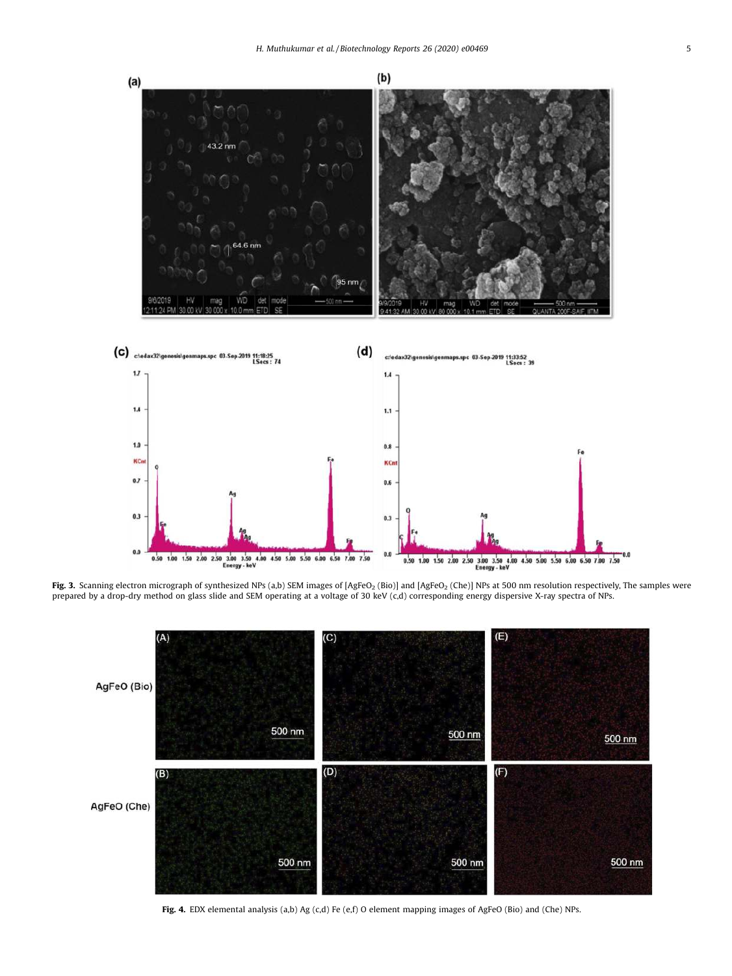<span id="page-4-0"></span>

**Fig. 3.** Scanning electron micrograph of synthesized NPs (a,b) SEM images of [AgFeO<sub>2</sub> (Bio)] and [AgFeO<sub>2</sub> (Che)] NPs at 500 nm resolution respectively, The samples were<br>prepared by a drop-dry method on glass slide and S



Fig. 4. EDX elemental analysis (a,b) Ag (c,d) Fe (e,f) O element mapping images of AgFeO (Bio) and (Che) NPs.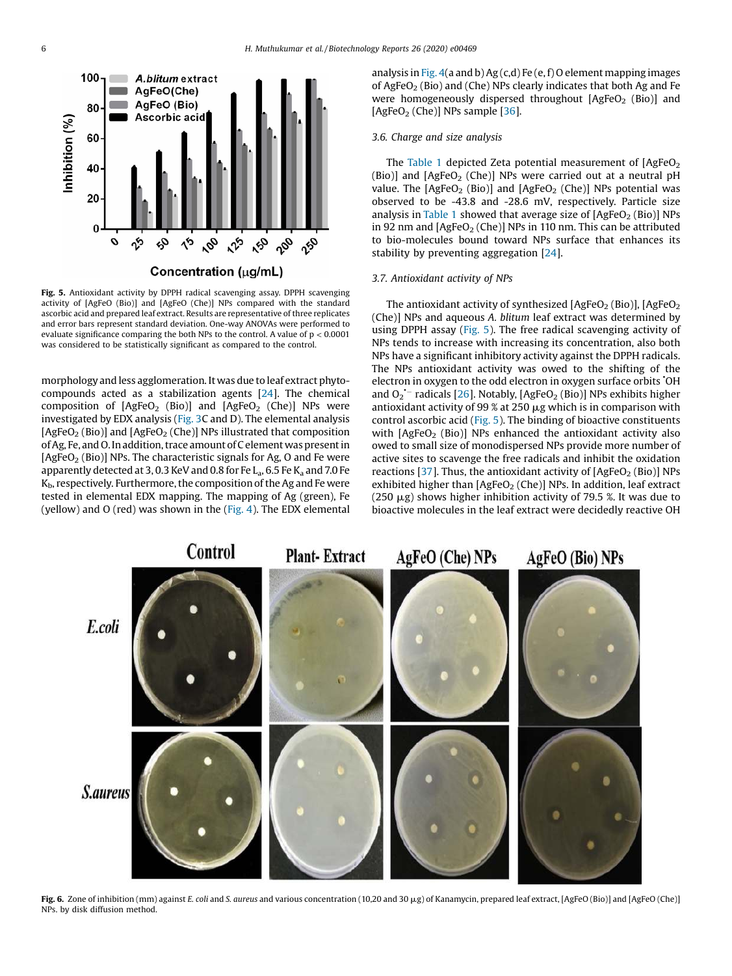<span id="page-5-0"></span>

Fig. 5. Antioxidant activity by DPPH radical scavenging assay. DPPH scavenging activity of [AgFeO (Bio)] and [AgFeO (Che)] NPs compared with the standard ascorbic acid and prepared leaf extract. Results are representative of three replicates and error bars represent standard deviation. One-way ANOVAs were performed to evaluate significance comparing the both NPs to the control. A value of  $p < 0.0001$ was considered to be statistically significant as compared to the control.

morphology and less agglomeration. It was due to leaf extract phytocompounds acted as a stabilization agents [[24](#page-9-0)]. The chemical composition of  $[AgFeO<sub>2</sub> (Bio)]$  and  $[AgFeO<sub>2</sub> (Che)]$  NPs were investigated by EDX analysis ([Fig.](#page-4-0) 3C and D). The elemental analysis [AgFeO<sub>2</sub> (Bio)] and  $[AgFeO<sub>2</sub>$  (Che)] NPs illustrated that composition of Ag, Fe, and O. In addition, trace amount of C element was present in [AgFeO<sub>2</sub> (Bio)] NPs. The characteristic signals for Ag, O and Fe were apparently detected at 3, 0.3 KeV and 0.8 for Fe  $L_a$ , 6.5 Fe  $K_a$  and 7.0 Fe  $K_{\rm b}$ , respectively. Furthermore, the composition of the Ag and Fe were tested in elemental EDX mapping. The mapping of Ag (green), Fe (yellow) and O (red) was shown in the [\(Fig.](#page-4-0) 4). The EDX elemental analysis in [Fig.](#page-4-0)  $4(a$  and b) Ag  $(c,d)$  Fe  $(e,f)$  O element mapping images of AgFeO<sub>2</sub> (Bio) and (Che) NPs clearly indicates that both Ag and Fe were homogeneously dispersed throughout  $[AgFeO<sub>2</sub> (Bio)]$  and  $[AgFeO<sub>2</sub> (Che)]$  NPs sample  $[36]$  $[36]$ .

# *3.6. Charge and size analysis*

The [Table](#page-6-0) 1 depicted Zeta potential measurement of  $[AgFeO<sub>2</sub>]$ (Bio)] and  $[AgFeO<sub>2</sub> (Che)]$  NPs were carried out at a neutral pH value. The  $[AgFeO<sub>2</sub> (Bio)]$  and  $[AgFeO<sub>2</sub> (Che)]$  NPs potential was observed to be -43.8 and -28.6 mV, respectively. Particle size analysis in [Table](#page-6-0) 1 showed that average size of  $[AgFeO<sub>2</sub>(Bio)]$  NPs in 92 nm and  $[AgFeO<sub>2</sub> (Che)]$  NPs in 110 nm. This can be attributed to bio-molecules bound toward NPs surface that enhances its stability by preventing aggregation [[24](#page-9-0)].

## *3.7. Antioxidant activity of NPs*

The antioxidant activity of synthesized  $[AgFeO<sub>2</sub> (Bio)], [AgFeO<sub>2</sub>]$ (Che)] NPs and aqueous *A. blitum* leaf extract was determined by using DPPH assay (Fig. 5). The free radical scavenging activity of NPs tends to increase with increasing its concentration, also both NPs have a significant inhibitory activity against the DPPH radicals. The NPs antioxidant activity was owed to the shifting of the electron in oxygen to the odd electron in oxygen surface orbits OH and  $O_2$ <sup>-</sup> radicals [\[26](#page-9-0)]. Notably, [AgFeO<sub>2</sub> (Bio)] NPs exhibits higher antioxidant activity of 99 % at 250  $\mu$ g which is in comparison with control ascorbic acid (Fig. 5). The binding of bioactive constituents with  $[AgFeO<sub>2</sub> (Bio)]$  NPs enhanced the antioxidant activity also owed to small size of monodispersed NPs provide more number of active sites to scavenge the free radicals and inhibit the oxidation reactions [[37](#page-9-0)]. Thus, the antioxidant activity of  $[AgFeO<sub>2</sub>(Bio)]$  NPs exhibited higher than  $[AgFeO<sub>2</sub> (Che)]$  NPs. In addition, leaf extract (250  $\mu$ g) shows higher inhibition activity of 79.5 %. It was due to bioactive molecules in the leaf extract were decidedly reactive OH



Fig. 6. Zone of inhibition (mm) against *E. coli* and *S. aureus* and various concentration (10,20 and 30 µg) of Kanamycin, prepared leaf extract, [AgFeO (Bio)] and [AgFeO (Che)] NPs. by disk diffusion method.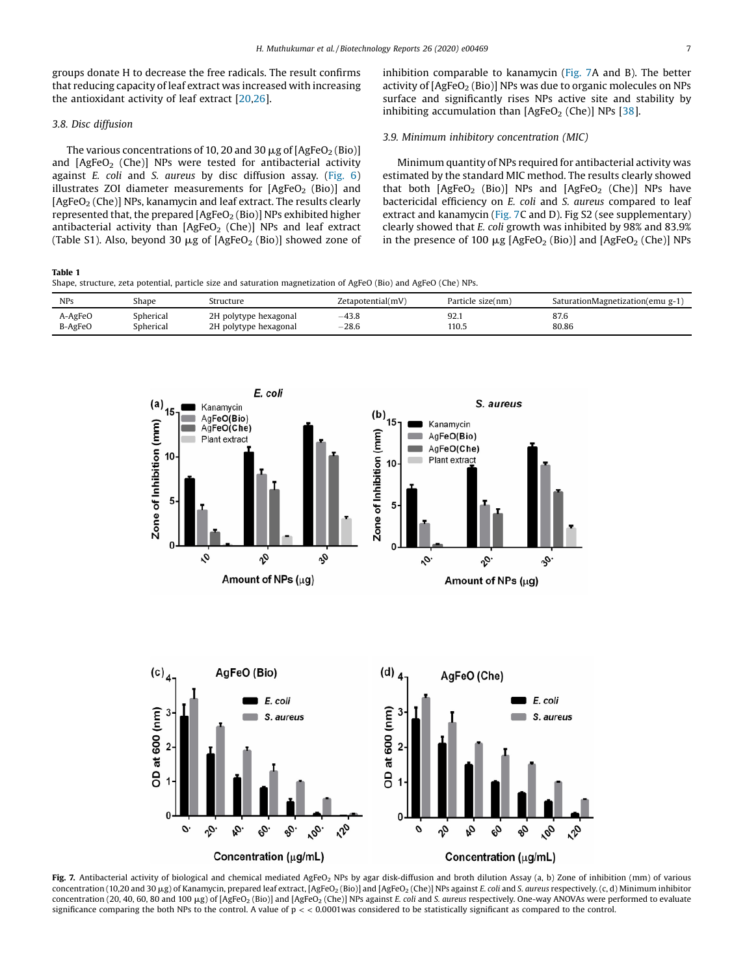<span id="page-6-0"></span>groups donate H to decrease the free radicals. The result confirms that reducing capacity of leaf extract was increased with increasing the antioxidant activity of leaf extract [[20,26](#page-9-0)].

# *3.8. Disc diffusion*

The various concentrations of 10, 20 and 30  $\mu$ g of [AgFeO<sub>2</sub> (Bio)] and  $[AgFeO<sub>2</sub> (Che)]$  NPs were tested for antibacterial activity against *E. coli* and *S. aureus* by disc diffusion assay. [\(Fig.](#page-5-0) 6) illustrates ZOI diameter measurements for  $[AgFeO<sub>2</sub> (Bio)]$  and  $[AgFeO<sub>2</sub>$  (Che)] NPs, kanamycin and leaf extract. The results clearly represented that, the prepared  $[AgFeO<sub>2</sub>(Bio)]$  NPs exhibited higher antibacterial activity than  $[AgFeO<sub>2</sub> (Che)]$  NPs and leaf extract (Table S1). Also, beyond 30  $\mu$ g of [AgFeO<sub>2</sub> (Bio)] showed zone of inhibition comparable to kanamycin (Fig. 7A and B). The better activity of  $[AgFeO<sub>2</sub>(Bio)]$  NPs was due to organic molecules on NPs surface and significantly rises NPs active site and stability by inhibiting accumulation than  $[AgFeO<sub>2</sub> (Che)]$  NPs  $[38]$  $[38]$  $[38]$ .

# *3.9. Minimum inhibitory concentration (MIC)*

Minimum quantity of NPs required for antibacterial activity was estimated by the standard MIC method. The results clearly showed that both  $[AgFeO<sub>2</sub> (Bio)]$  NPs and  $[AgFeO<sub>2</sub> (Che)]$  NPs have bactericidal efficiency on *E. coli* and *S. aureus* compared to leaf extract and kanamycin (Fig. 7C and D). Fig S2 (see supplementary) clearly showed that *E. coli* growth was inhibited by 98% and 83.9% in the presence of 100  $\mu$ g [AgFeO<sub>2</sub> (Bio)] and [AgFeO<sub>2</sub> (Che)] NPs

#### Table 1

Shape, structure, zeta potential, particle size and saturation magnetization of AgFeO (Bio) and AgFeO (Che) NPs.

| <b>NPs</b> | Shape     | Structure             | Zetapotential(mV) | Particle size(nm) | SaturationMagnetization(emu g-1) |
|------------|-----------|-----------------------|-------------------|-------------------|----------------------------------|
| A-AgFeO    | Spherical | 2H polytype hexagonal | $-43.8$           | 92.1              | 87.6                             |
| B-AgFeO    | Spherical | 2H polytype hexagonal | $-28.6$           | 110.5             | 80.86                            |





Fig. 7. Antibacterial activity of biological and chemical mediated AgFeO<sub>2</sub> NPs by agar disk-diffusion and broth dilution Assay (a, b) Zone of inhibition (mm) of various concentration (10,20 and 30 mg) of Kanamycin, prepared leaf extract, [AgFeO<sup>2</sup> (Bio)] and [AgFeO<sup>2</sup> (Che)] NPs against *E. coli* and *S. aureus* respectively. (c, d) Minimum inhibitor concentration (20, 40, 60, 80 and 100 mg) of [AgFeO<sup>2</sup> (Bio)] and [AgFeO<sup>2</sup> (Che)] NPs against *E. coli* and *S. aureus* respectively. One-way ANOVAs were performed to evaluate significance comparing the both NPs to the control. A value of p < < 0.0001was considered to be statistically significant as compared to the control.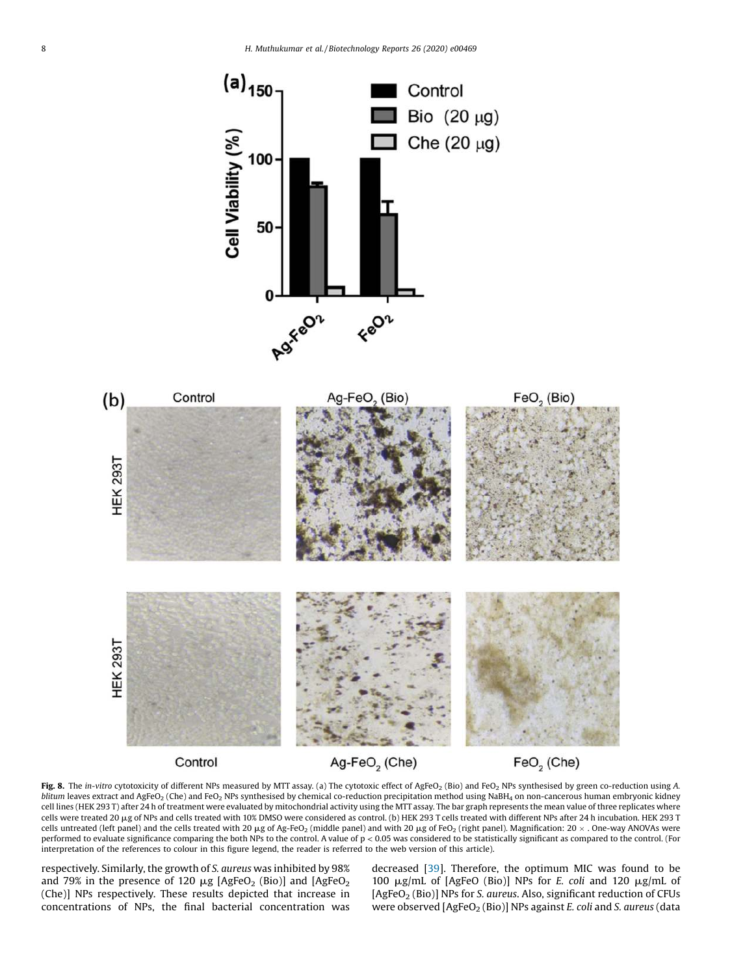<span id="page-7-0"></span>



Control

Ag-FeO<sub>2</sub> (Che)

 $FeO<sub>2</sub>$  (Che)

Fig. 8. The *in-vitro* cytotoxicity of different NPs measured by MTT assay. (a) The cytotoxic effect of AgFeO<sub>2</sub> (Bio) and FeO<sub>2</sub> NPs synthesised by green co-reduction using A. *blitum* leaves extract and AgFeO<sub>2</sub> (Che) and FeO<sub>2</sub> NPs synthesised by chemical co-reduction precipitation method using NaBH<sub>4</sub> on non-cancerous human embryonic kidney cell lines (HEK 293 T) after 24 h of treatment were evaluated by mitochondrial activity using the MTT assay. The bar graph represents the mean value of three replicates where cells were treated 20 µg of NPs and cells treated with 10% DMSO were considered as control. (b) HEK 293 T cells treated with different NPs after 24 h incubation. HEK 293 T cells untreated (left panel) and the cells treated with 20 µg of Ag-FeO<sub>2</sub> (middle panel) and with 20 µg of FeO<sub>2</sub> (right panel). Magnification: 20  $\times$  . One-way ANOVAs were performed to evaluate significance comparing the both NPs to the control. A value of p < 0.05 was considered to be statistically significant as compared to the control. (For interpretation of the references to colour in this figure legend, the reader is referred to the web version of this article).

respectively. Similarly, the growth of *S. aureus* was inhibited by 98% and 79% in the presence of 120  $\mu$ g [AgFeO<sub>2</sub> (Bio)] and [AgFeO<sub>2</sub> (Che)] NPs respectively. These results depicted that increase in concentrations of NPs, the final bacterial concentration was decreased [\[39](#page-9-0)]. Therefore, the optimum MIC was found to be 100 mg/mL of [AgFeO (Bio)] NPs for *E. coli* and 120 mg/mL of [AgFeO<sup>2</sup> (Bio)] NPs for *S. aureus*. Also, significant reduction of CFUs were observed [AgFeO<sub>2</sub> (Bio)] NPs against *E. coli* and *S. aureus* (data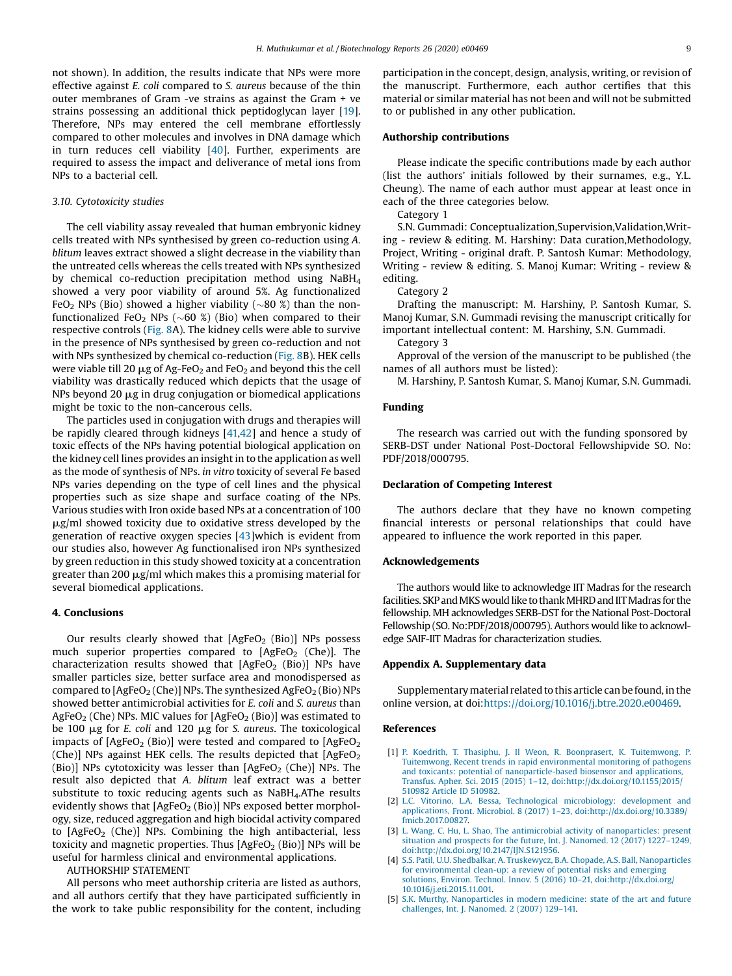<span id="page-8-0"></span>not shown). In addition, the results indicate that NPs were more effective against *E. coli* compared to *S. aureus* because of the thin outer membranes of Gram -ve strains as against the Gram + ve strains possessing an additional thick peptidoglycan layer [\[19](#page-9-0)]. Therefore, NPs may entered the cell membrane effortlessly compared to other molecules and involves in DNA damage which in turn reduces cell viability [[40\]](#page-9-0). Further, experiments are required to assess the impact and deliverance of metal ions from NPs to a bacterial cell.

## *3.10. Cytotoxicity studies*

The cell viability assay revealed that human embryonic kidney cells treated with NPs synthesised by green co-reduction using *A. blitum* leaves extract showed a slight decrease in the viability than the untreated cells whereas the cells treated with NPs synthesized by chemical co-reduction precipitation method using NaBH<sub>4</sub> showed a very poor viability of around 5%. Ag functionalized FeO<sub>2</sub> NPs (Bio) showed a higher viability ( $\sim$ 80 %) than the nonfunctionalized FeO<sub>2</sub> NPs ( $\sim$  60 %) (Bio) when compared to their respective controls ([Fig.](#page-7-0) 8A). The kidney cells were able to survive in the presence of NPs synthesised by green co-reduction and not with NPs synthesized by chemical co-reduction ([Fig.](#page-7-0) 8B). HEK cells were viable till 20  $\mu$ g of Ag-FeO<sub>2</sub> and FeO<sub>2</sub> and beyond this the cell viability was drastically reduced which depicts that the usage of  $NPs$  beyond 20  $\mu$ g in drug conjugation or biomedical applications might be toxic to the non-cancerous cells.

The particles used in conjugation with drugs and therapies will be rapidly cleared through kidneys [[41,42](#page-9-0)] and hence a study of toxic effects of the NPs having potential biological application on the kidney cell lines provides an insight in to the application as well as the mode of synthesis of NPs. *in vitro* toxicity of several Fe based NPs varies depending on the type of cell lines and the physical properties such as size shape and surface coating of the NPs. Various studies with Iron oxide based NPs at a concentration of 100  $\mu$ g/ml showed toxicity due to oxidative stress developed by the generation of reactive oxygen species [\[43](#page-9-0)]which is evident from our studies also, however Ag functionalised iron NPs synthesized by green reduction in this study showed toxicity at a concentration greater than 200  $\mu$ g/ml which makes this a promising material for several biomedical applications.

# 4. Conclusions

Our results clearly showed that  $[AgFeO<sub>2</sub> (Bio)]$  NPs possess much superior properties compared to  $[AgFeO<sub>2</sub> (Che)].$  The characterization results showed that  $[AgFeO<sub>2</sub> (Bio)]$  NPs have smaller particles size, better surface area and monodispersed as compared to  $[AgFeO<sub>2</sub>(Che)]$  NPs. The synthesized AgFeO<sub>2</sub> (Bio) NPs showed better antimicrobial activities for *E. coli* and *S. aureus* than AgFeO<sub>2</sub> (Che) NPs. MIC values for  $[AgFeO<sub>2</sub> (Bio)]$  was estimated to be 100 mg for *E. coli* and 120 mg for *S. aureus*. The toxicological impacts of  $[AgFeO<sub>2</sub> (Bio)]$  were tested and compared to  $[AgFeO<sub>2</sub>]$ (Che)] NPs against HEK cells. The results depicted that  $[AgFeO<sub>2</sub>]$ (Bio)] NPs cytotoxicity was lesser than  $[AgFeO<sub>2</sub> (Che)]$  NPs. The result also depicted that *A. blitum* leaf extract was a better substitute to toxic reducing agents such as NaBH<sub>4</sub>.AThe results evidently shows that  $[AgFeO<sub>2</sub>(Bio)]$  NPs exposed better morphology, size, reduced aggregation and high biocidal activity compared to  $[AgFeO<sub>2</sub> (Che)]$  NPs. Combining the high antibacterial, less toxicity and magnetic properties. Thus  $[AgFeO<sub>2</sub> (Bio)]$  NPs will be useful for harmless clinical and environmental applications.

AUTHORSHIP STATEMENT

All persons who meet authorship criteria are listed as authors, and all authors certify that they have participated sufficiently in the work to take public responsibility for the content, including participation in the concept, design, analysis, writing, or revision of the manuscript. Furthermore, each author certifies that this material or similar material has not been and will not be submitted to or published in any other publication.

# Authorship contributions

Please indicate the specific contributions made by each author (list the authors' initials followed by their surnames, e.g., Y.L. Cheung). The name of each author must appear at least once in each of the three categories below.

Category 1

S.N. Gummadi: Conceptualization,Supervision,Validation,Writing - review & editing. M. Harshiny: Data curation,Methodology, Project, Writing - original draft. P. Santosh Kumar: Methodology, Writing - review & editing. S. Manoj Kumar: Writing - review & editing.

Category 2

Drafting the manuscript: M. Harshiny, P. Santosh Kumar, S. Manoj Kumar, S.N. Gummadi revising the manuscript critically for important intellectual content: M. Harshiny, S.N. Gummadi.

Category 3

Approval of the version of the manuscript to be published (the names of all authors must be listed):

M. Harshiny, P. Santosh Kumar, S. Manoj Kumar, S.N. Gummadi.

# Funding

The research was carried out with the funding sponsored by SERB-DST under National Post-Doctoral Fellowshipvide SO. No: PDF/2018/000795.

## Declaration of Competing Interest

The authors declare that they have no known competing financial interests or personal relationships that could have appeared to influence the work reported in this paper.

#### Acknowledgements

The authors would like to acknowledge IIT Madras for the research facilities. SKP and MKS would like to thank MHRD and IIT Madras for the fellowship. MH acknowledges SERB-DST for the National Post-Doctoral Fellowship (SO. No:PDF/2018/000795). Authors would like to acknowledge SAIF-IIT Madras for characterization studies.

## Appendix A. Supplementary data

Supplementary material related to this article can be found, in the online version, at doi:<https://doi.org/10.1016/j.btre.2020.e00469>.

## References

- [1] P. Koedrith, T. Thasiphu, J. Il Weon, R. Boonprasert, K. [Tuitemwong,](http://refhub.elsevier.com/S2215-017X(20)30108-9/sbref0005) P. Tuitemwong, Recent trends in rapid [environmental](http://refhub.elsevier.com/S2215-017X(20)30108-9/sbref0005) monitoring of pathogens and toxicants: potential of [nanoparticle-based](http://refhub.elsevier.com/S2215-017X(20)30108-9/sbref0005) biosensor and applications, Transfus. Apher. Sci. 2015 (2015) 1–12, [doi:http://dx.doi.org/10.1155/2015/](http://refhub.elsevier.com/S2215-017X(20)30108-9/sbref0005) 510982 Article ID [510982.](http://dx.doi.org/10.1155/2015/510982)
- [2] L.C. Vitorino, L.A. Bessa, Technological [microbiology:](http://refhub.elsevier.com/S2215-017X(20)30108-9/sbref0010) development and applications, Front. Microbiol. 8 (2017) 1–23, [doi:http://dx.doi.org/10.3389/](http://refhub.elsevier.com/S2215-017X(20)30108-9/sbref0010) [fmicb.2017.00827.](http://dx.doi.org/10.3389/fmicb.2017.00827)
- [3] L. Wang, C. Hu, L. Shao, The antimicrobial activity of [nanoparticles:](http://refhub.elsevier.com/S2215-017X(20)30108-9/sbref0015) present situation and prospects for the future, Int. J. [Nanomed.](http://refhub.elsevier.com/S2215-017X(20)30108-9/sbref0015) 12 (2017) 1227–1249, [doi:http://dx.doi.org/10.2147/IJN.S121956.](http://refhub.elsevier.com/S2215-017X(20)30108-9/sbref0015)
- [4] S.S. Patil, U.U. Shedbalkar, A. Truskewycz, B.A. Chopade, A.S. Ball, [Nanoparticles](http://refhub.elsevier.com/S2215-017X(20)30108-9/sbref0020) for [environmental](http://refhub.elsevier.com/S2215-017X(20)30108-9/sbref0020) clean-up: a review of potential risks and emerging solutions, Environ. Technol. Innov. 5 (2016) 10–21, [doi:http://dx.doi.org/](http://refhub.elsevier.com/S2215-017X(20)30108-9/sbref0020) [10.1016/j.eti.2015.11.001.](http://dx.doi.org/10.1016/j.eti.2015.11.001)
- [5] S.K. Murthy, [Nanoparticles](http://refhub.elsevier.com/S2215-017X(20)30108-9/sbref0025) in modern medicine: state of the art and future [challenges,](http://refhub.elsevier.com/S2215-017X(20)30108-9/sbref0025) Int. J. Nanomed. 2 (2007) 129–141.